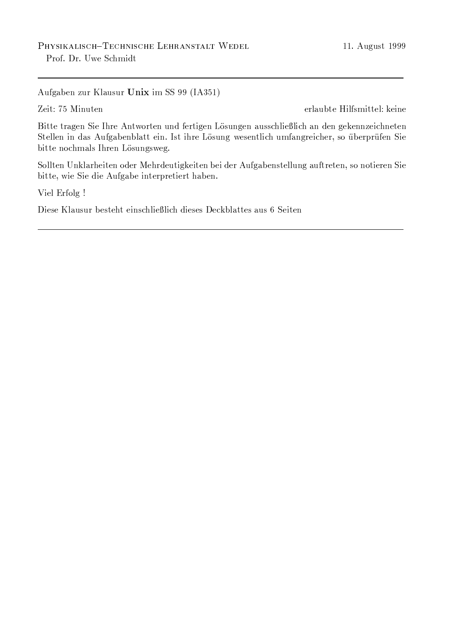Aufgaben zur Klausur Unix im SS 99 (IA351)

Zeit: 75 Minuten

erlaubte Hilfsmittel: keine

Bitte tragen Sie Ihre Antworten und fertigen Lösungen ausschließlich an den gekennzeichneten Stellen in das Aufgabenblatt ein. Ist ihre Lösung wesentlich umfangreicher, so überprüfen Sie bitte nochmals Ihren Lösungsweg.

Sollten Unklarheiten oder Mehrdeutigkeiten bei der Aufgabenstellung auftreten, so notieren Sie bitte, wie Sie die Aufgabe interpretiert haben.

Viel Erfolg !

Diese Klausur besteht einschließlich dieses Deckblattes aus 6 Seiten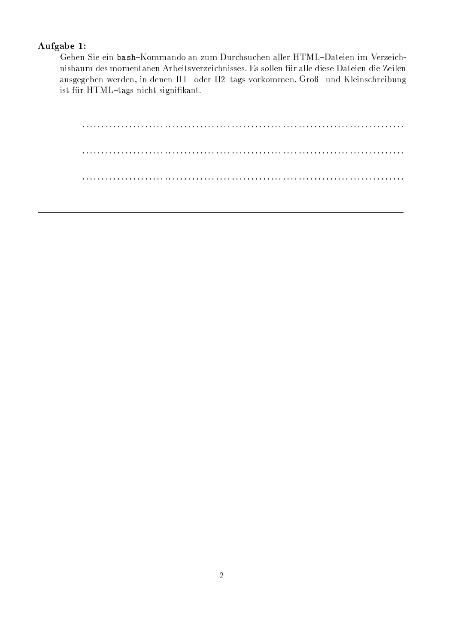### -

?M?N#ALGZ?S?fGZN- QS7'FHFK:NI73KN Of+.F <,+.6 C}D0/2+CED.?NPKRZRl?6niw<SK:1;?GZ?fN GlF ?68Of?G CED d?n 1ek:nm?n3\*,68m?glie=1ek:nm?n3\*,6k:RzRl?n.Glie=1ek:nm?n3\*,6k:RzRl?nb9}y+.6k:RzRl?nb9}y+.6k:RzRl?NB9}y+.6k:R K+/2-)?-'?M?Nx>s?6I?NLGlNPI?N.?fNPnB& u7 I ?6-n!"t1EK-L/#L7'6;qL7'FHF\?N( 6;7'{u+.NIPQSRZ?GlN/8CED.68?fGZM.+.Nmist für HTML-tags nicht signifikant.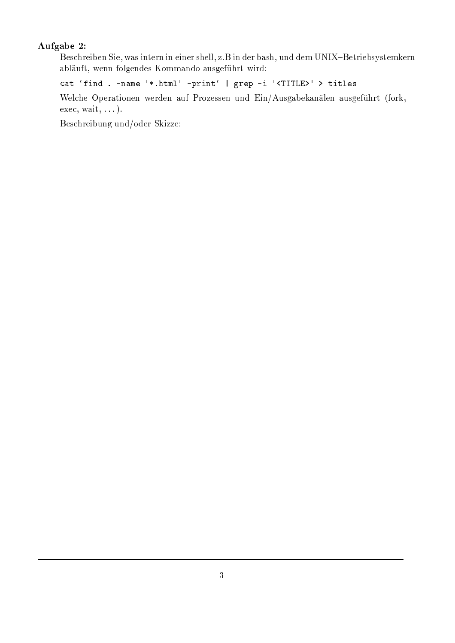## Aufgabe 2:

Beschreiben Sie, was intern in einer shell, z.B in der bash, und dem UNIX-Betriebsystemkern abläuft, wenn folgendes Kommando ausgeführt wird:

cat 'find . - name '\*.html' - print' | grep -i '<TITLE>' > titles

Welche Operationen werden auf Prozessen und Ein/Ausgabekanälen ausgeführt (fork,  $exec, wait, ...).$ 

Beschreibung und/oder Skizze: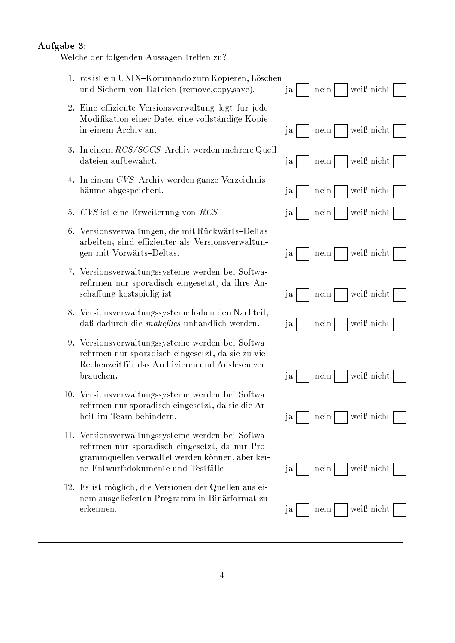#### Aufgabe 3:

Welche der folgenden Aussagen treffen zu?

- 1. rcs ist ein UNIX-Kommando zum Kopieren, Löschen und Sichern von Dateien (remove.copy.save).
- 2. Eine effiziente Versionsverwaltung legt für jede Modifikation einer Datei eine vollständige Kopie in einem Archiv an.
- 3. In einem RCS/SCCS-Archiv werden mehrere Quelldateien aufbewahrt.
- 4. In einem CVS-Archiv werden ganze Verzeichnisbäume abgespeichert.
- 5. CVS ist eine Erweiterung von RCS
- 6. Versionsverwaltungen, die mit Rückwärts-Deltas arbeiten, sind effizienter als Versionsverwaltungen mit Vorwärts-Deltas.
- 7. Versionsverwaltungssysteme werden bei Softwarefirmen nur sporadisch eingesetzt, da ihre Anschaffung kostspielig ist.
- 8. Versionsverwaltungssysteme haben den Nachteil, daß dadurch die makefiles unhandlich werden.
- 9. Versionsverwaltungssysteme werden bei Softwarefirmen nur sporadisch eingesetzt, da sie zu viel Rechenzeit für das Archivieren und Auslesen ver**brauchen**
- 10. Versionsverwaltungssysteme werden bei Softwarefirmen nur sporadisch eingesetzt, da sie die Arbeit im Team behindern.
- 11. Versionsverwaltungssysteme werden bei Softwarefirmen nur sporadisch eingesetzt, da nur Programmquellen verwaltet werden können, aber keine Entwurfsdokumente und Testfälle
- 12. Es ist möglich, die Versionen der Quellen aus einem ausgelieferten Programm in Binärformat zu erkennen.

|                      |       |      |  | $j$ a   nein   weiß nicht   |  |
|----------------------|-------|------|--|-----------------------------|--|
|                      |       |      |  | ja   nein   weiß nicht      |  |
|                      |       |      |  | ja   nein     weiß nicht    |  |
|                      |       |      |  | ja   nein   weiß nicht      |  |
|                      |       |      |  | ja   nein   weiß nicht      |  |
|                      |       |      |  | $j$ a   nein     weiß nicht |  |
|                      |       |      |  | ja   nein   weiß nicht      |  |
| $ja \nightharpoonup$ |       |      |  | nein   weiß nicht           |  |
|                      |       |      |  |                             |  |
|                      | $j$ a |      |  | nein   weiß nicht           |  |
| ja                   |       | nein |  | $\vert$ weiß nicht $\vert$  |  |
| ja                   |       | nein |  | weiß nicht                  |  |
|                      |       |      |  |                             |  |
| ja                   |       | nein |  | weiß nicht                  |  |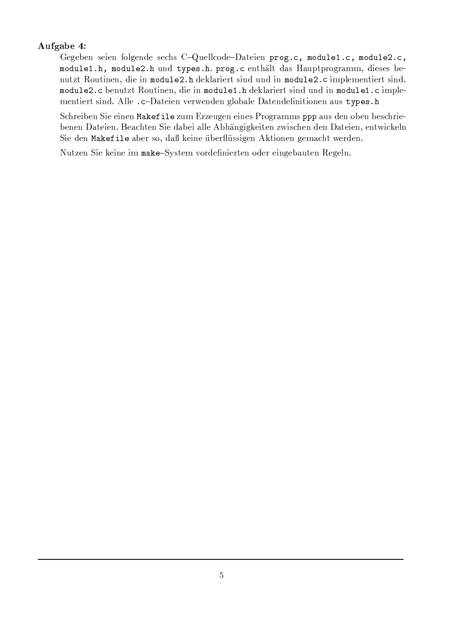## Aufgabe 4:

Gegeben seien folgende sechs C-Quellcode-Dateien prog.c, module1.c, module2.c, module1.h, module2.h und types.h. prog.c enthält das Hauptprogramm, dieses benutzt Routinen, die in module2.h deklariert sind und in module2.c implementiert sind. module2.c benutzt Routinen, die in module1.h deklariert sind und in module1.c implementiert sind. Alle .c-Dateien verwenden globale Datendefinitionen aus types.h

Schreiben Sie einen Makefile zum Erzeugen eines Programms ppp aus den oben beschriebenen Dateien. Beachten Sie dabei alle Abhängigkeiten zwischen den Dateien, entwickeln Sie den Makefile aber so, daß keine überflüssigen Aktionen gemacht werden.

Nutzen Sie keine im make-System vordefinierten oder eingebauten Regeln.